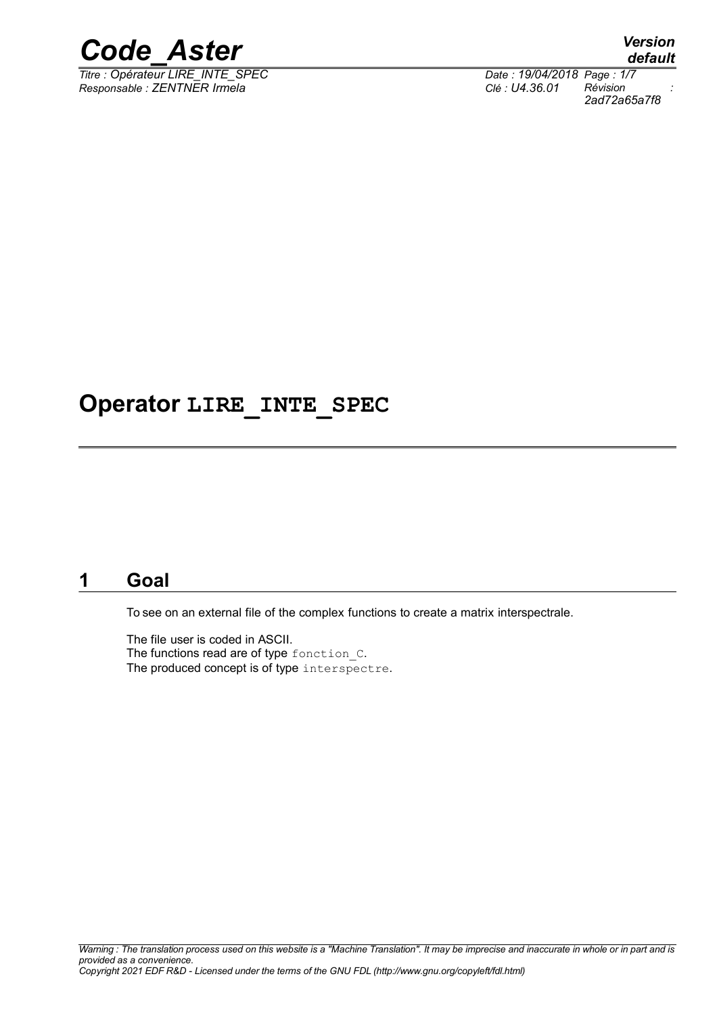

*Titre : Opérateur LIRE\_INTE\_SPEC Date : 19/04/2018 Page : 1/7 Responsable : ZENTNER Irmela Clé : U4.36.01 Révision :*

*default 2ad72a65a7f8*

## **Operator LIRE\_INTE\_SPEC**

## **1 Goal**

To see on an external file of the complex functions to create a matrix interspectrale.

The file user is coded in ASCII. The functions read are of type fonction C. The produced concept is of type interspectre.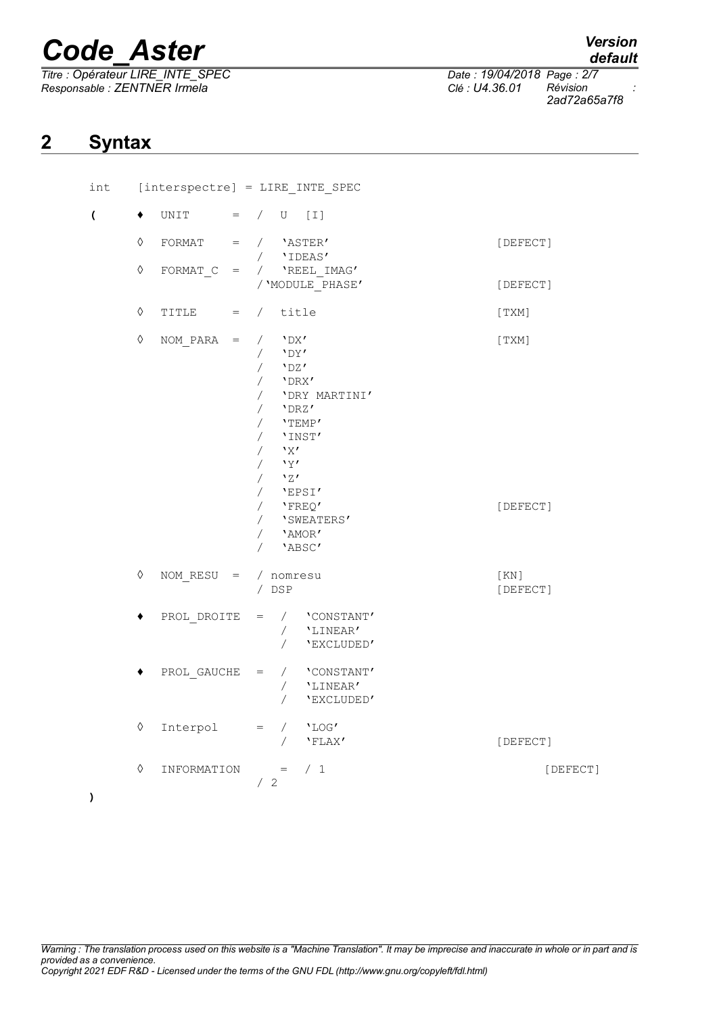*Titre : Opérateur LIRE\_INTE\_SPEC Date : 19/04/2018 Page : 2/7 Responsable : ZENTNER Irmela Clé : U4.36.01 Révision :*

*default*

*2ad72a65a7f8*

## **2 Syntax**

| int                      | $[interspectre] = LINE_INTE_SPEC$ |                        |                                                                                                                                                                                                                                                        |                    |
|--------------------------|-----------------------------------|------------------------|--------------------------------------------------------------------------------------------------------------------------------------------------------------------------------------------------------------------------------------------------------|--------------------|
| $\overline{\mathcal{L}}$ |                                   | UNIT                   | $=$ / U [I]                                                                                                                                                                                                                                            |                    |
|                          | $\Diamond$                        | FORMAT                 | $=$ / $'$ ASTER'<br>/ 'IDEAS'                                                                                                                                                                                                                          | [DEFECT]           |
|                          | $\Diamond$                        |                        | FORMAT C = $/$ 'REEL IMAG'<br>/ 'MODULE PHASE'                                                                                                                                                                                                         | [DEFECT]           |
|                          | $\Diamond$                        | TITLE<br>$=$ $\qquad$  | / title                                                                                                                                                                                                                                                | [TXM]              |
|                          | $\Diamond$                        | $NOM$ PARA $=$         | $'$ <sub>DX</sub> $'$<br>$\sqrt{2}$<br>$'$ <sub>DY</sub><br>$\sqrt{2}$<br>$\sqrt{2}$<br>$'$ DZ $'$<br>$/$ 'DRX'<br>/ 'DRY MARTINI'<br>$/$ 'DRZ'<br>$/$ 'TEMP'<br>$/$ 'INST'<br>'X'<br>$\sqrt{2}$<br>'Y'<br>$\sqrt{2}$<br>$/$ $\sqrt{27}$<br>$/$ 'EPSI' | $[$ TXM $]\;$      |
|                          |                                   |                        | $/$ 'FREQ'<br>/ 'SWEATERS'<br>$/$ 'AMOR'<br>/ 'ABSC'                                                                                                                                                                                                   | [DEFECT]           |
|                          | ♦                                 | NOM RESU = $/$ nomresu | / DSP                                                                                                                                                                                                                                                  | [ KN ]<br>[DEFECT] |
|                          |                                   | PROL DROITE            | $=$ / $'$ CONSTANT'<br>/ 'LINEAR'<br>$\sqrt{2}$<br>'EXCLUDED'                                                                                                                                                                                          |                    |
|                          |                                   | PROL GAUCHE            | / 'CONSTANT'<br>$=$<br>/ <b>'LINEAR'</b><br>$\sqrt{2}$<br>'EXCLUDED'                                                                                                                                                                                   |                    |
|                          | $\Diamond$                        | Interpol               | $/$ 'LOG'<br>$=$<br>$\sqrt{2}$<br>'FLAX'                                                                                                                                                                                                               | [DEFECT]           |
|                          | ♦                                 | INFORMATION            | /1<br>$\mathbf{r} = \mathbf{r}$<br>/2                                                                                                                                                                                                                  | [DEFECT]           |

*Warning : The translation process used on this website is a "Machine Translation". It may be imprecise and inaccurate in whole or in part and is provided as a convenience. Copyright 2021 EDF R&D - Licensed under the terms of the GNU FDL (http://www.gnu.org/copyleft/fdl.html)*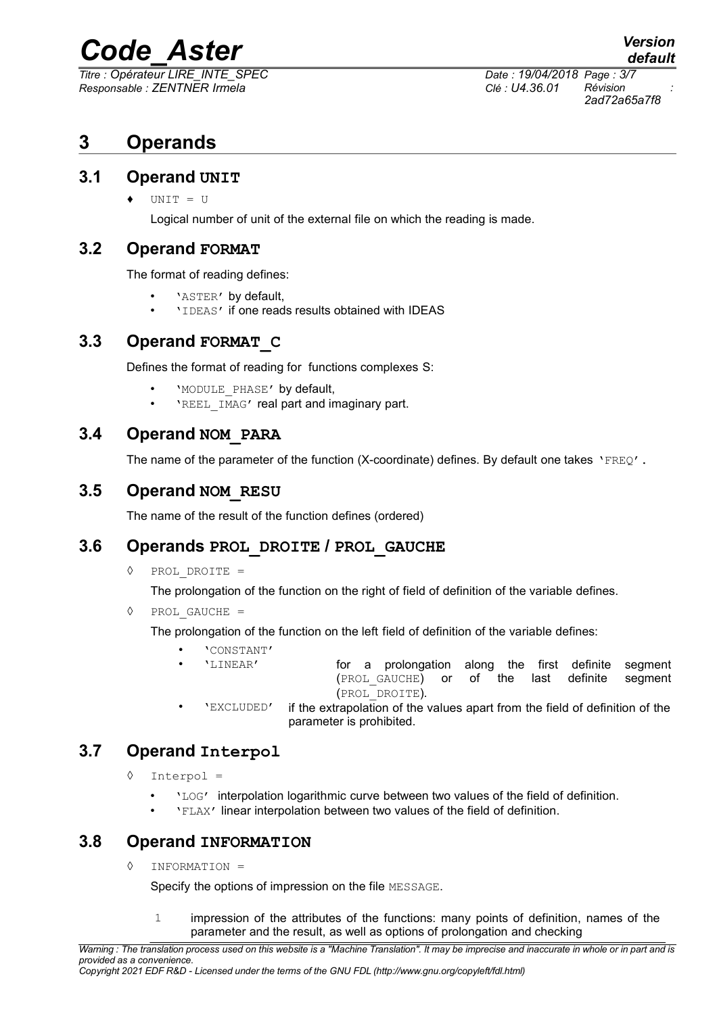$\overline{T}$ *Titre : Opérateur LIRE\_INTE\_SPEC Responsable : ZENTNER Irmela Clé : U4.36.01 Révision :*

*2ad72a65a7f8*

## **3 Operands**

### **3.1 Operand UNIT**

♦ UNIT = U

Logical number of unit of the external file on which the reading is made.

### **3.2 Operand FORMAT**

The format of reading defines:

- 'ASTER' by default,
- 'IDEAS' if one reads results obtained with IDEAS

### **3.3 Operand FORMAT\_C**

Defines the format of reading for functions complexes S:

- 'MODULE\_PHASE' by default,
- **'REEL** IMAG' real part and imaginary part.

### **3.4 Operand NOM\_PARA**

The name of the parameter of the function (X-coordinate) defines. By default one takes 'FREO'.

### **3.5 Operand NOM\_RESU**

The name of the result of the function defines (ordered)

### **3.6 Operands PROL\_DROITE / PROL\_GAUCHE**

◊ PROL\_DROITE =

The prolongation of the function on the right of field of definition of the variable defines.

◊ PROL\_GAUCHE =

The prolongation of the function on the left field of definition of the variable defines:

- 'CONSTANT'<br>'LINEAR'
	- for a prolongation along the first definite segment (PROL\_GAUCHE) or of the last definite segment (PROL\_DROITE).
- 'EXCLUDED' if the extrapolation of the values apart from the field of definition of the parameter is prohibited.

### **3.7 Operand Interpol**

- ◊ Interpol =
	- $\cdot$   $\cdot$   $\text{LOG}$  interpolation logarithmic curve between two values of the field of definition.
	- 'FLAX' linear interpolation between two values of the field of definition.

### **3.8 Operand INFORMATION**

◊ INFORMATION =

Specify the options of impression on the file MESSAGE.

1 impression of the attributes of the functions: many points of definition, names of the parameter and the result, as well as options of prolongation and checking

*Warning : The translation process used on this website is a "Machine Translation". It may be imprecise and inaccurate in whole or in part and is provided as a convenience. Copyright 2021 EDF R&D - Licensed under the terms of the GNU FDL (http://www.gnu.org/copyleft/fdl.html)*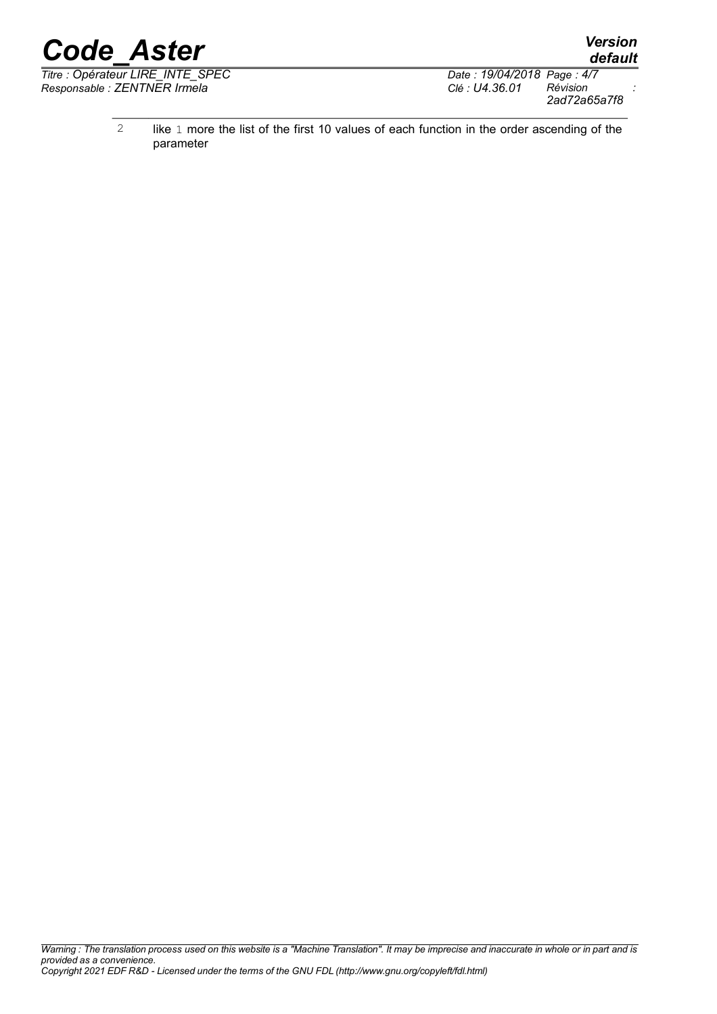*Titre : Opérateur LIRE\_INTE\_SPEC Date : 19/04/2018 Page : 4/7 Responsable : ZENTNER Irmela Clé : U4.36.01 Révision :*

*2ad72a65a7f8*

*default*

2 like 1 more the list of the first 10 values of each function in the order ascending of the parameter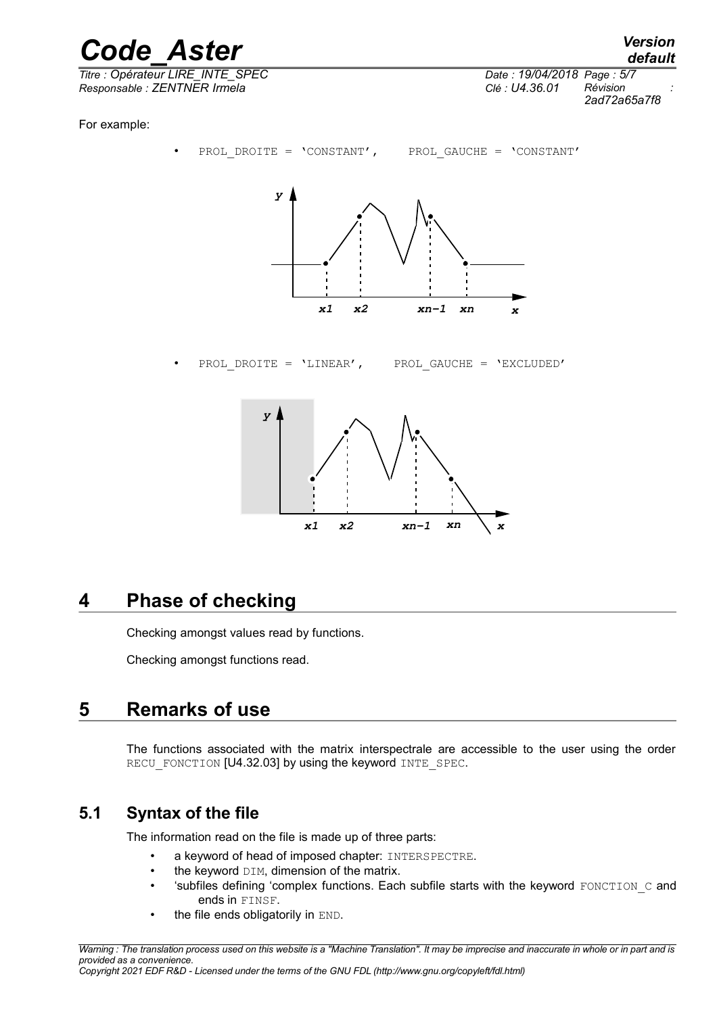$\overline{T}$ *Titre : Opérateur LIRE\_INTE\_SPEC Responsable : ZENTNER Irmela Clé : U4.36.01 Révision :*

*2ad72a65a7f8*

For example:



PROL DROITE = 'LINEAR', PROL GAUCHE = 'EXCLUDED'



## **4 Phase of checking**

Checking amongst values read by functions.

Checking amongst functions read.

## **5 Remarks of use**

The functions associated with the matrix interspectrale are accessible to the user using the order RECU\_FONCTION [U4.32.03] by using the keyword INTE\_SPEC.

## **5.1 Syntax of the file**

The information read on the file is made up of three parts:

- a keyword of head of imposed chapter: INTERSPECTRE.
- $\bullet$  the keyword  $DIM$ , dimension of the matrix.
- 'subfiles defining 'complex functions. Each subfile starts with the keyword  $FONCTION$   $C$  and ends in FINSF.
- the file ends obligatorily in END.

*Copyright 2021 EDF R&D - Licensed under the terms of the GNU FDL (http://www.gnu.org/copyleft/fdl.html)*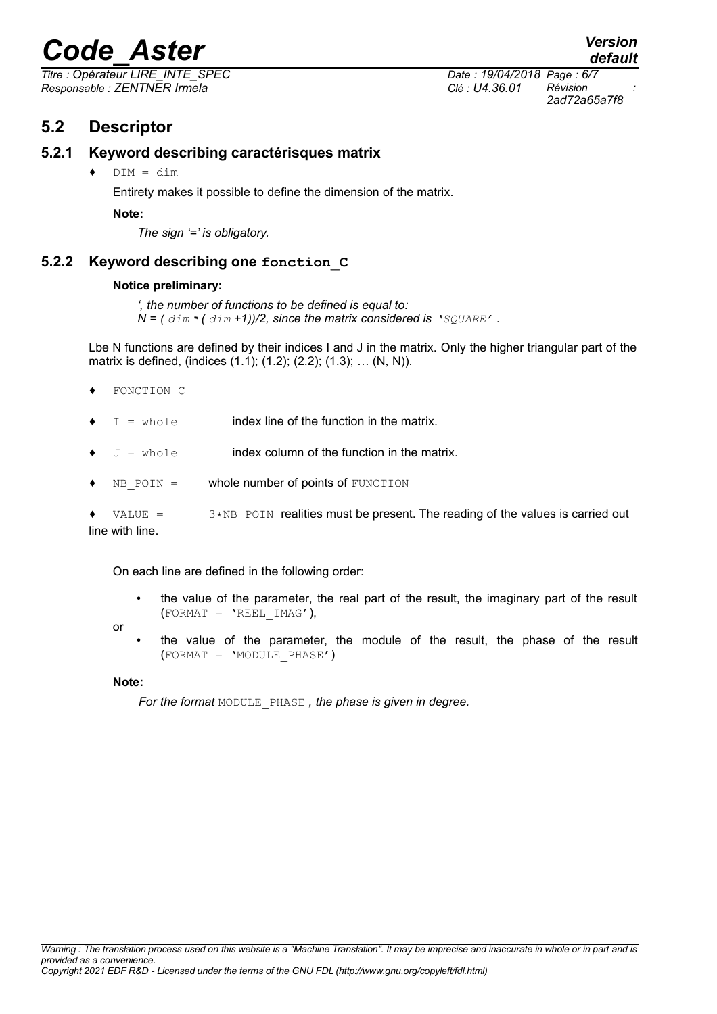*Titre : Opérateur LIRE\_INTE\_SPEC Date : 19/04/2018 Page : 6/7 Responsable : ZENTNER Irmela Clé : U4.36.01 Révision :*

*default 2ad72a65a7f8*

### **5.2 Descriptor**

#### **5.2.1 Keyword describing caractérisques matrix**

♦ DIM = dim

Entirety makes it possible to define the dimension of the matrix.

**Note:**

*The sign '=' is obligatory.*

#### **5.2.2 Keyword describing one fonction\_C**

#### **Notice preliminary:**

*', the number of functions to be defined is equal to:*  $N = ($   $dim * ($   $dim *1)/2$ , since the matrix considered is  $'$ SQUARE'.

Lbe N functions are defined by their indices I and J in the matrix. Only the higher triangular part of the matrix is defined, (indices (1.1); (1.2); (2.2); (1.3); … (N, N)).

- ♦ FONCTION\_C
- $I =$  whole index line of the function in the matrix.
- $J =$  whole index column of the function in the matrix.
- $NB$  POIN = whole number of points of FUNCTION

 $VALUE = 3*NB$  POIN realities must be present. The reading of the values is carried out line with line.

On each line are defined in the following order:

- the value of the parameter, the real part of the result, the imaginary part of the result  $(FORMAT = 'REEL IMAG'),$
- or
- the value of the parameter, the module of the result, the phase of the result  $(FORMAT = 'MODULE PHASE')$

**Note:**

*For the format* MODULE\_PHASE *, the phase is given in degree.*